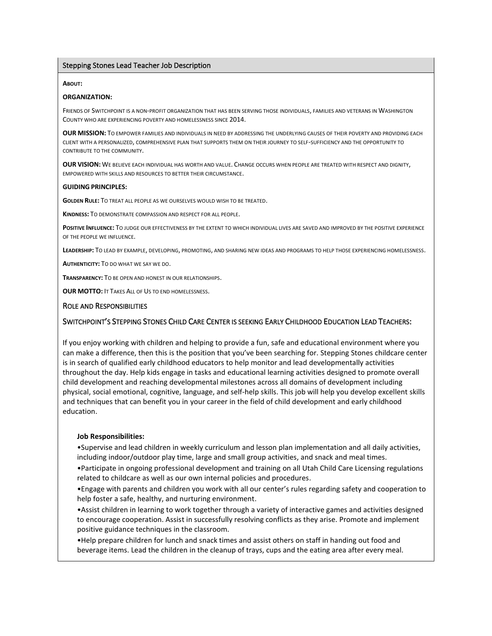### Stepping Stones Lead Teacher Job Description

#### **ABOUT:**

#### **ORGANIZATION:**

FRIENDS OF SWITCHPOINT IS A NON-PROFIT ORGANIZATION THAT HAS BEEN SERVING THOSE INDIVIDUALS, FAMILIES AND VETERANS IN WASHINGTON COUNTY WHO ARE EXPERIENCING POVERTY AND HOMELESSNESS SINCE 2014.

**OUR MISSION:** TO EMPOWER FAMILIES AND INDIVIDUALS IN NEED BY ADDRESSING THE UNDERLYING CAUSES OF THEIR POVERTY AND PROVIDING EACH CLIENT WITH A PERSONALIZED, COMPREHENSIVE PLAN THAT SUPPORTS THEM ON THEIR JOURNEY TO SELF-SUFFICIENCY AND THE OPPORTUNITY TO CONTRIBUTE TO THE COMMUNITY.

**OUR VISION:** WE BELIEVE EACH INDIVIDUAL HAS WORTH AND VALUE. CHANGE OCCURS WHEN PEOPLE ARE TREATED WITH RESPECT AND DIGNITY, EMPOWERED WITH SKILLS AND RESOURCES TO BETTER THEIR CIRCUMSTANCE.

#### **GUIDING PRINCIPLES:**

**GOLDEN RULE:** TO TREAT ALL PEOPLE AS WE OURSELVES WOULD WISH TO BE TREATED.

**KINDNESS:** TO DEMONSTRATE COMPASSION AND RESPECT FOR ALL PEOPLE.

**POSITIVE INFLUENCE:** TO JUDGE OUR EFFECTIVENESS BY THE EXTENT TO WHICH INDIVIDUAL LIVES ARE SAVED AND IMPROVED BY THE POSITIVE EXPERIENCE OF THE PEOPLE WE INFLUENCE.

**LEADERSHIP:** TO LEAD BY EXAMPLE, DEVELOPING, PROMOTING, AND SHARING NEW IDEAS AND PROGRAMS TO HELP THOSE EXPERIENCING HOMELESSNESS.

**AUTHENTICITY:** TO DO WHAT WE SAY WE DO.

**TRANSPARENCY:** TO BE OPEN AND HONEST IN OUR RELATIONSHIPS.

**OUR MOTTO:** IT TAKES ALL OF US TO END HOMELESSNESS.

### ROLE AND RESPONSIBILITIES

## SWITCHPOINT'S STEPPING STONES CHILD CARE CENTER IS SEEKING EARLY CHILDHOOD EDUCATION LEAD TEACHERS:

If you enjoy working with children and helping to provide a fun, safe and educational environment where you can make a difference, then this is the position that you've been searching for. Stepping Stones childcare center is in search of qualified early childhood educators to help monitor and lead developmentally activities throughout the day. Help kids engage in tasks and educational learning activities designed to promote overall child development and reaching developmental milestones across all domains of development including physical, social emotional, cognitive, language, and self-help skills. This job will help you develop excellent skills and techniques that can benefit you in your career in the field of child development and early childhood education.

### **Job Responsibilities:**

•Supervise and lead children in weekly curriculum and lesson plan implementation and all daily activities, including indoor/outdoor play time, large and small group activities, and snack and meal times.

•Participate in ongoing professional development and training on all Utah Child Care Licensing regulations related to childcare as well as our own internal policies and procedures.

•Engage with parents and children you work with all our center's rules regarding safety and cooperation to help foster a safe, healthy, and nurturing environment.

•Assist children in learning to work together through a variety of interactive games and activities designed to encourage cooperation. Assist in successfully resolving conflicts as they arise. Promote and implement positive guidance techniques in the classroom.

•Help prepare children for lunch and snack times and assist others on staff in handing out food and beverage items. Lead the children in the cleanup of trays, cups and the eating area after every meal.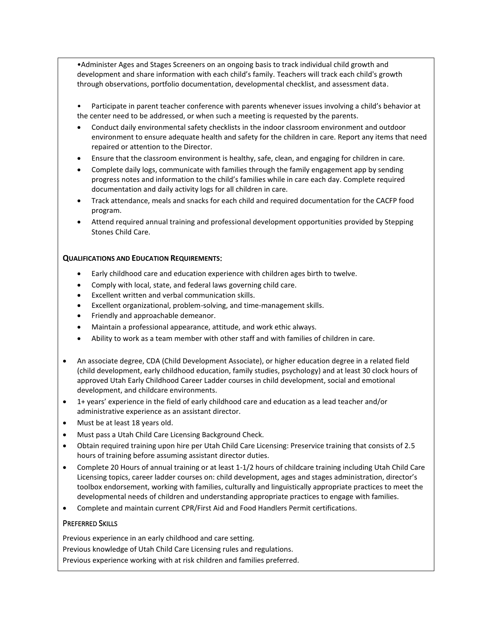•Administer Ages and Stages Screeners on an ongoing basis to track individual child growth and development and share information with each child's family. Teachers will track each child's growth through observations, portfolio documentation, developmental checklist, and assessment data.

• Participate in parent teacher conference with parents whenever issues involving a child's behavior at the center need to be addressed, or when such a meeting is requested by the parents.

- Conduct daily environmental safety checklists in the indoor classroom environment and outdoor environment to ensure adequate health and safety for the children in care. Report any items that need repaired or attention to the Director.
- Ensure that the classroom environment is healthy, safe, clean, and engaging for children in care.
- Complete daily logs, communicate with families through the family engagement app by sending progress notes and information to the child's families while in care each day. Complete required documentation and daily activity logs for all children in care.
- Track attendance, meals and snacks for each child and required documentation for the CACFP food program.
- Attend required annual training and professional development opportunities provided by Stepping Stones Child Care.

## **QUALIFICATIONS AND EDUCATION REQUIREMENTS**:

- Early childhood care and education experience with children ages birth to twelve.
- Comply with local, state, and federal laws governing child care.
- Excellent written and verbal communication skills.
- Excellent organizational, problem-solving, and time-management skills.
- Friendly and approachable demeanor.
- Maintain a professional appearance, attitude, and work ethic always.
- Ability to work as a team member with other staff and with families of children in care.
- An associate degree, CDA (Child Development Associate), or higher education degree in a related field (child development, early childhood education, family studies, psychology) and at least 30 clock hours of approved Utah Early Childhood Career Ladder courses in child development, social and emotional development, and childcare environments.
- 1+ years' experience in the field of early childhood care and education as a lead teacher and/or administrative experience as an assistant director.
- Must be at least 18 years old.
- Must pass a Utah Child Care Licensing Background Check.
- Obtain required training upon hire per Utah Child Care Licensing: Preservice training that consists of 2.5 hours of training before assuming assistant director duties.
- Complete 20 Hours of annual training or at least 1-1/2 hours of childcare training including Utah Child Care Licensing topics, career ladder courses on: child development, ages and stages administration, director's toolbox endorsement, working with families, culturally and linguistically appropriate practices to meet the developmental needs of children and understanding appropriate practices to engage with families.
- Complete and maintain current CPR/First Aid and Food Handlers Permit certifications.

## PREFERRED SKILLS

Previous experience in an early childhood and care setting. Previous knowledge of Utah Child Care Licensing rules and regulations. Previous experience working with at risk children and families preferred.